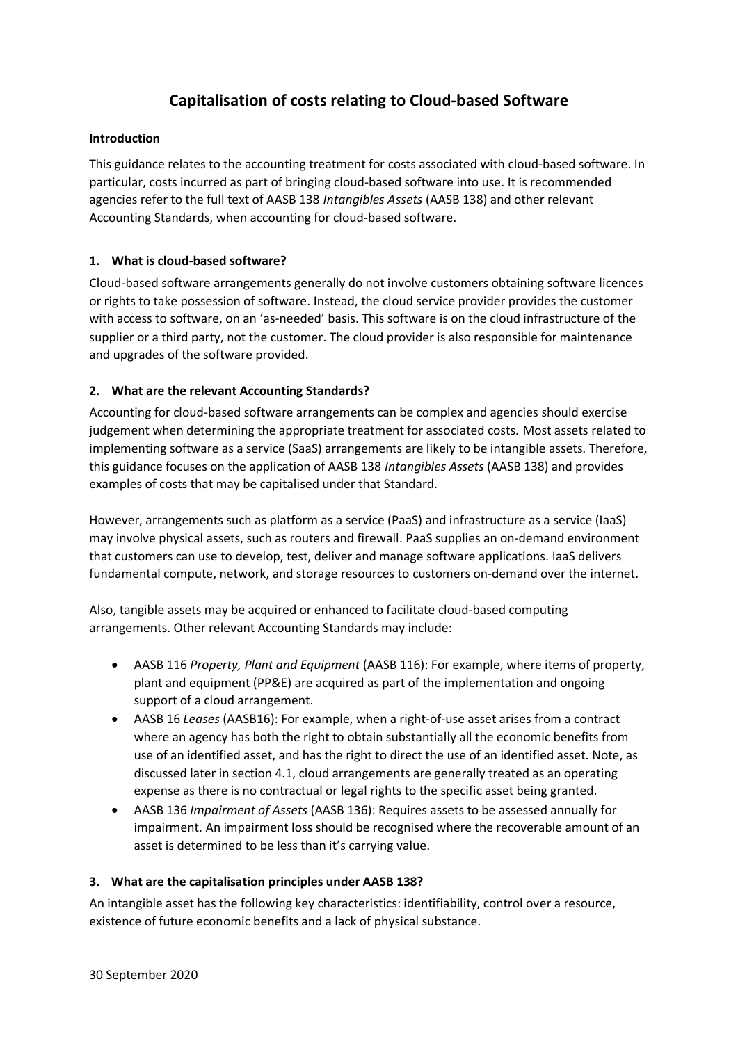# **Capitalisation of costs relating to Cloud-based Software**

## **Introduction**

This guidance relates to the accounting treatment for costs associated with cloud-based software. In particular, costs incurred as part of bringing cloud-based software into use. It is recommended agencies refer to the full text of AASB 138 *Intangibles Assets* (AASB 138) and other relevant Accounting Standards, when accounting for cloud-based software.

## **1. What is cloud-based software?**

Cloud-based software arrangements generally do not involve customers obtaining software licences or rights to take possession of software. Instead, the cloud service provider provides the customer with access to software, on an 'as-needed' basis. This software is on the cloud infrastructure of the supplier or a third party, not the customer. The cloud provider is also responsible for maintenance and upgrades of the software provided.

## **2. What are the relevant Accounting Standards?**

Accounting for cloud-based software arrangements can be complex and agencies should exercise judgement when determining the appropriate treatment for associated costs. Most assets related to implementing software as a service (SaaS) arrangements are likely to be intangible assets. Therefore, this guidance focuses on the application of AASB 138 *Intangibles Assets* (AASB 138) and provides examples of costs that may be capitalised under that Standard.

However, arrangements such as platform as a service (PaaS) and infrastructure as a service (IaaS) may involve physical assets, such as routers and firewall. PaaS supplies an on-demand environment that customers can use to develop, test, deliver and manage software applications. IaaS delivers fundamental compute, network, and storage resources to customers on-demand over the internet.

Also, tangible assets may be acquired or enhanced to facilitate cloud-based computing arrangements. Other relevant Accounting Standards may include:

- AASB 116 *Property, Plant and Equipment* (AASB 116): For example, where items of property, plant and equipment (PP&E) are acquired as part of the implementation and ongoing support of a cloud arrangement.
- AASB 16 *Leases* (AASB16): For example, when a right-of-use asset arises from a contract where an agency has both the right to obtain substantially all the economic benefits from use of an identified asset, and has the right to direct the use of an identified asset. Note, as discussed later in section 4.1, cloud arrangements are generally treated as an operating expense as there is no contractual or legal rights to the specific asset being granted.
- AASB 136 *Impairment of Assets* (AASB 136): Requires assets to be assessed annually for impairment. An impairment loss should be recognised where the recoverable amount of an asset is determined to be less than it's carrying value.

## **3. What are the capitalisation principles under AASB 138?**

An intangible asset has the following key characteristics: identifiability, control over a resource, existence of future economic benefits and a lack of physical substance.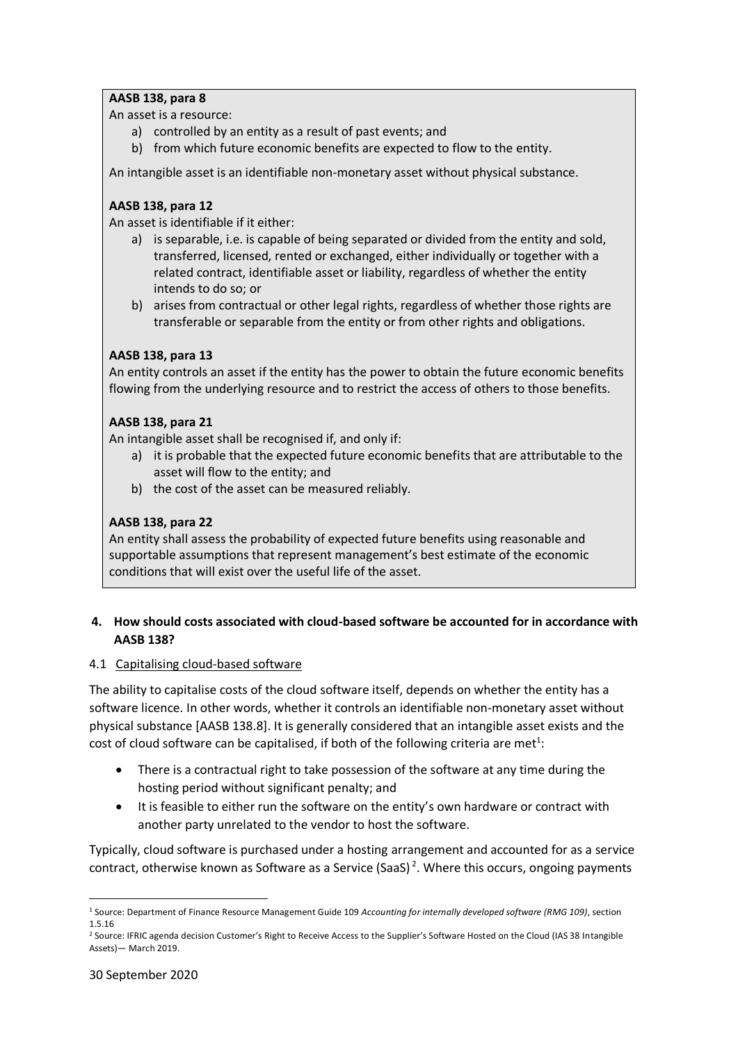# **AASB 138, para 8**

An asset is a resource:

- a) controlled by an entity as a result of past events; and
- b) from which future economic benefits are expected to flow to the entity.

An intangible asset is an identifiable non-monetary asset without physical substance.

## **AASB 138, para 12**

An asset is identifiable if it either:

- a) is separable, i.e. is capable of being separated or divided from the entity and sold, transferred, licensed, rented or exchanged, either individually or together with a related contract, identifiable asset or liability, regardless of whether the entity intends to do so; or
- b) arises from contractual or other legal rights, regardless of whether those rights are transferable or separable from the entity or from other rights and obligations.

#### **AASB 138, para 13**

An entity controls an asset if the entity has the power to obtain the future economic benefits flowing from the underlying resource and to restrict the access of others to those benefits.

#### **AASB 138, para 21**

An intangible asset shall be recognised if, and only if:

- a) it is probable that the expected future economic benefits that are attributable to the asset will flow to the entity; and
- b) the cost of the asset can be measured reliably.

## **AASB 138, para 22**

An entity shall assess the probability of expected future benefits using reasonable and supportable assumptions that represent management's best estimate of the economic conditions that will exist over the useful life of the asset.

## **4. How should costs associated with cloud-based software be accounted for in accordance with AASB 138?**

#### 4.1 Capitalising cloud-based software

The ability to capitalise costs of the cloud software itself, depends on whether the entity has a software licence. In other words, whether it controls an identifiable non-monetary asset without physical substance [AASB 138.8]. It is generally considered that an intangible asset exists and the cost of cloud software can be capitalised, if both of the following criteria are met<sup>1</sup>:

- There is a contractual right to take possession of the software at any time during the hosting period without significant penalty; and
- It is feasible to either run the software on the entity's own hardware or contract with another party unrelated to the vendor to host the software.

Typically, cloud software is purchased under a hosting arrangement and accounted for as a service contract, otherwise known as Software as a Service (SaaS)<sup>2</sup>. Where this occurs, ongoing payments

<sup>1</sup> Source: Department of Finance Resource Management Guide 109 *Accounting for internally developed software (RMG 109)*, section 1.5.16

<sup>&</sup>lt;sup>2</sup> Source: IFRIC agenda decision Customer's Right to Receive Access to the Supplier's Software Hosted on the Cloud (IAS 38 Intangible Assets)— March 2019.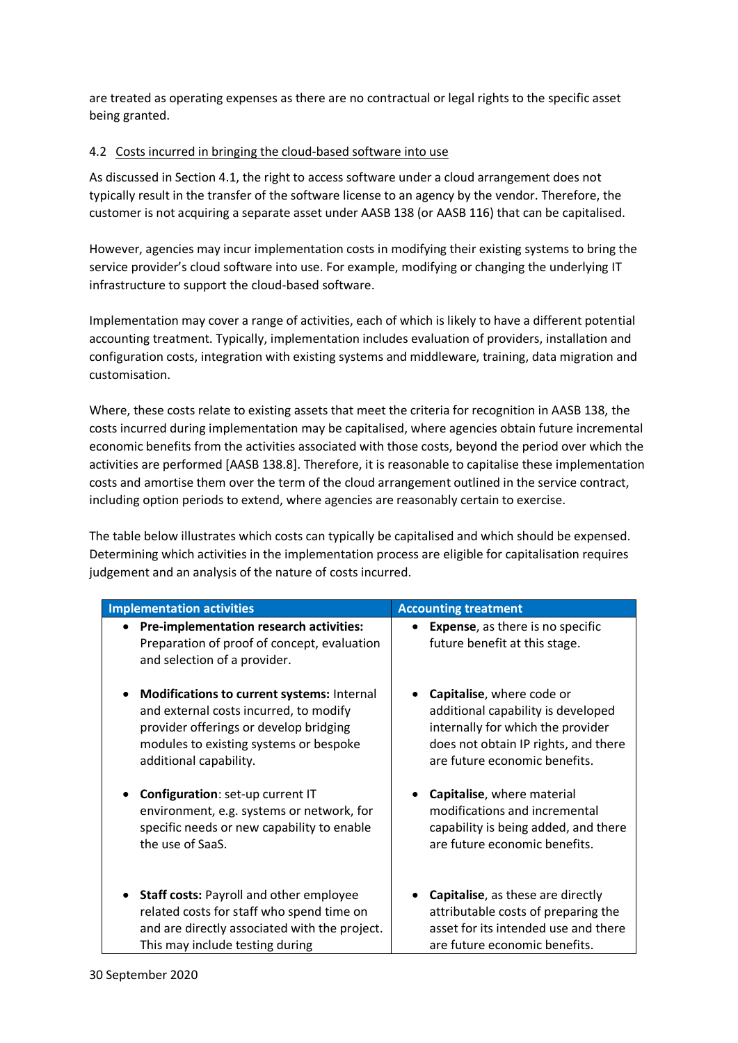are treated as operating expenses as there are no contractual or legal rights to the specific asset being granted.

## 4.2 Costs incurred in bringing the cloud-based software into use

As discussed in Section 4.1, the right to access software under a cloud arrangement does not typically result in the transfer of the software license to an agency by the vendor. Therefore, the customer is not acquiring a separate asset under AASB 138 (or AASB 116) that can be capitalised.

However, agencies may incur implementation costs in modifying their existing systems to bring the service provider's cloud software into use. For example, modifying or changing the underlying IT infrastructure to support the cloud-based software.

Implementation may cover a range of activities, each of which is likely to have a different potential accounting treatment. Typically, implementation includes evaluation of providers, installation and configuration costs, integration with existing systems and middleware, training, data migration and customisation.

Where, these costs relate to existing assets that meet the criteria for recognition in AASB 138, the costs incurred during implementation may be capitalised, where agencies obtain future incremental economic benefits from the activities associated with those costs, beyond the period over which the activities are performed [AASB 138.8]. Therefore, it is reasonable to capitalise these implementation costs and amortise them over the term of the cloud arrangement outlined in the service contract, including option periods to extend, where agencies are reasonably certain to exercise.

The table below illustrates which costs can typically be capitalised and which should be expensed. Determining which activities in the implementation process are eligible for capitalisation requires judgement and an analysis of the nature of costs incurred.

| <b>Implementation activities</b>                                                                                         | <b>Accounting treatment</b>                                               |
|--------------------------------------------------------------------------------------------------------------------------|---------------------------------------------------------------------------|
| • Pre-implementation research activities:<br>Preparation of proof of concept, evaluation<br>and selection of a provider. | <b>Expense</b> , as there is no specific<br>future benefit at this stage. |
| Modifications to current systems: Internal                                                                               | Capitalise, where code or                                                 |
| and external costs incurred, to modify                                                                                   | additional capability is developed                                        |
| provider offerings or develop bridging                                                                                   | internally for which the provider                                         |
| modules to existing systems or bespoke                                                                                   | does not obtain IP rights, and there                                      |
| additional capability.                                                                                                   | are future economic benefits.                                             |
| Configuration: set-up current IT                                                                                         | Capitalise, where material                                                |
| environment, e.g. systems or network, for                                                                                | modifications and incremental                                             |
| specific needs or new capability to enable                                                                               | capability is being added, and there                                      |
| the use of SaaS.                                                                                                         | are future economic benefits.                                             |
| Staff costs: Payroll and other employee                                                                                  | Capitalise, as these are directly                                         |
| related costs for staff who spend time on                                                                                | attributable costs of preparing the                                       |
| and are directly associated with the project.                                                                            | asset for its intended use and there                                      |
| This may include testing during                                                                                          | are future economic benefits.                                             |